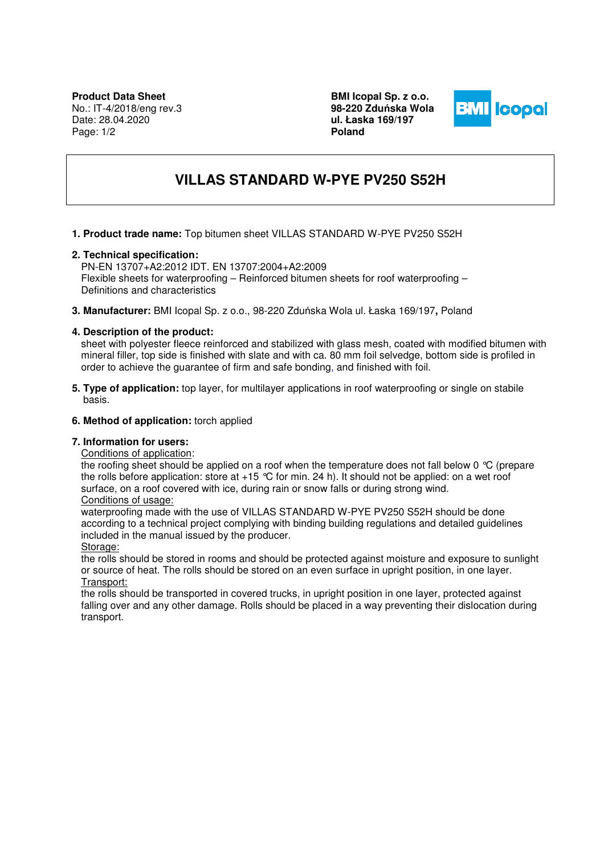**BMI Icopal Sp. z o.o. 98-220 Zdu**ń**ska Wola ul. Łaska 169/197 Poland** 



# **VILLAS STANDARD W-PYE PV250 S52H**

**1. Product trade name:** Top bitumen sheet VILLAS STANDARD W-PYE PV250 S52H

## **2. Technical specification:**

PN-EN 13707+A2:2012 IDT. EN 13707:2004+A2:2009 Flexible sheets for waterproofing – Reinforced bitumen sheets for roof waterproofing – Definitions and characteristics

**3. Manufacturer:** BMI Icopal Sp. z o.o., 98-220 Zduńska Wola ul. Łaska 169/197**,** Poland

## **4. Description of the product:**

sheet with polyester fleece reinforced and stabilized with glass mesh, coated with modified bitumen with mineral filler, top side is finished with slate and with ca. 80 mm foil selvedge, bottom side is profiled in order to achieve the guarantee of firm and safe bonding, and finished with foil.

**5. Type of application:** top layer, for multilayer applications in roof waterproofing or single on stabile basis.

# **6. Method of application:** torch applied

#### **7. Information for users:**

Conditions of application:

the roofing sheet should be applied on a roof when the temperature does not fall below 0 °C (prepare the rolls before application: store at  $+15$  °C for min. 24 h). It should not be applied: on a wet roof surface, on a roof covered with ice, during rain or snow falls or during strong wind.

# Conditions of usage:

waterproofing made with the use of VILLAS STANDARD W-PYE PV250 S52H should be done according to a technical project complying with binding building regulations and detailed guidelines included in the manual issued by the producer.

Storage:

the rolls should be stored in rooms and should be protected against moisture and exposure to sunlight or source of heat. The rolls should be stored on an even surface in upright position, in one layer. Transport:

the rolls should be transported in covered trucks, in upright position in one layer, protected against falling over and any other damage. Rolls should be placed in a way preventing their dislocation during transport.